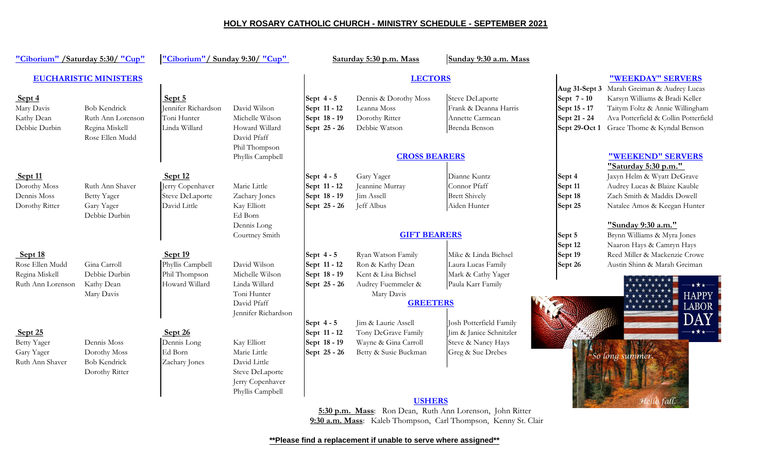## **HOLY ROSARY CATHOLIC CHURCH - MINISTRY SCHEDULE - SEPTEMBER 2021**

| "Ciborium" / Saturday 5:30/ "Cup"                                 |                                                                               | "Ciborium"/Sunday 9:30/ "Cup"                                    |                                                                                                        | Saturday 5:30 p.m. Mass                                                  |                                                                                                                                             | Sunday 9:30 a.m. Mass                                                                                                                                                                            |                                                              |                                                                                                                                                                                        |
|-------------------------------------------------------------------|-------------------------------------------------------------------------------|------------------------------------------------------------------|--------------------------------------------------------------------------------------------------------|--------------------------------------------------------------------------|---------------------------------------------------------------------------------------------------------------------------------------------|--------------------------------------------------------------------------------------------------------------------------------------------------------------------------------------------------|--------------------------------------------------------------|----------------------------------------------------------------------------------------------------------------------------------------------------------------------------------------|
| <b>EUCHARISTIC MINISTERS</b>                                      |                                                                               |                                                                  |                                                                                                        | <b>LECTORS</b>                                                           |                                                                                                                                             |                                                                                                                                                                                                  |                                                              | "WEEKDAY" SERVERS                                                                                                                                                                      |
| Sept 4<br>Mary Davis<br>Kathy Dean<br>Debbie Durbin               | <b>Bob Kendrick</b><br>Ruth Ann Lorenson<br>Regina Miskell<br>Rose Ellen Mudd | Sept 5<br>Jennifer Richardson<br>Toni Hunter<br>Linda Willard    | David Wilson<br>Michelle Wilson<br>Howard Willard<br>David Pfaff<br>Phil Thompson                      | Sept $4-5$<br>Sept 11 - 12<br>Sept 18 - 19<br>Sept 25 - 26               | Dennis & Dorothy Moss<br>Leanna Moss<br>Dorothy Ritter<br>Debbie Watson                                                                     | <b>Steve DeLaporte</b><br>Frank & Deanna Harris<br>Annette Carmean<br>Brenda Benson                                                                                                              | Aug 31-Sept 3<br>Sept 7 - 10<br>Sept 15 - 17<br>Sept 21 - 24 | Marah Greiman & Audrey Lucas<br>Karsyn Williams & Bradi Keller<br>Taitym Foltz & Annie Willingham<br>Ava Potterfield & Collin Potterfield<br>Sept 29-Oct 1 Grace Thome & Kyndal Benson |
|                                                                   |                                                                               |                                                                  | Phyllis Campbell                                                                                       |                                                                          | <b>CROSS BEARERS</b>                                                                                                                        |                                                                                                                                                                                                  |                                                              | "WEEKEND" SERVERS                                                                                                                                                                      |
| Sept 11<br>Dorothy Moss<br>Dennis Moss<br>Dorothy Ritter          | Ruth Ann Shaver<br><b>Betty Yager</b><br>Gary Yager<br>Debbie Durbin          | Sept 12<br>Jerry Copenhaver<br>Steve DeLaporte<br>David Little   | Marie Little<br>Zachary Jones<br>Kay Elliott<br>Ed Born<br>Dennis Long                                 | Sept $4-5$<br>Sept 11 - 12<br>Sept 18 - 19<br>Sept 25 - 26               | Gary Yager<br>Jeannine Murray<br>Jim Assell<br>Jeff Albus                                                                                   | Dianne Kuntz<br>Connor Pfaff<br><b>Brett Shively</b><br>Aiden Hunter                                                                                                                             | Sept 4<br>Sept 11<br>Sept 18<br>Sept 25                      | "Saturday 5:30 p.m."<br>Jaxyn Helm & Wyatt DeGrave<br>Audrey Lucas & Blaize Kauble<br>Zach Smith & Maddix Dowell<br>Natalee Amos & Keegan Hunter<br>"Sunday 9:30 a.m."                 |
|                                                                   |                                                                               |                                                                  | Courtney Smith                                                                                         |                                                                          | <b>GIFT BEARERS</b>                                                                                                                         |                                                                                                                                                                                                  | Sept 5                                                       | Brynn Williams & Myra Jones                                                                                                                                                            |
| Sept 18<br>Rose Ellen Mudd<br>Regina Miskell<br>Ruth Ann Lorenson | Gina Carroll<br>Debbie Durbin<br>Kathy Dean<br>Mary Davis                     | Sept $19$<br>Phyllis Campbell<br>Phil Thompson<br>Howard Willard | David Wilson<br>Michelle Wilson<br>Linda Willard<br>Toni Hunter<br>David Pfaff<br>Jennifer Richardson  | Sept $4-5$<br>Sept 11 - 12<br>Sept 18 - 19<br>Sept 25 - 26<br>Sept $4-5$ | Ryan Watson Family<br>Ron & Kathy Dean<br>Kent & Lisa Bichsel<br>Audrey Fuemmeler &<br>Mary Davis<br><b>GREETERS</b><br>Jim & Laurie Assell | Mike & Linda Bichsel<br>Laura Lucas Family<br>Mark & Cathy Yager<br>Paula Karr Family<br>Josh Potterfield Family                                                                                 | Sept 12<br>Sept 19<br>Sept 26                                | Naaron Hays & Camryn Hays<br>Reed Miller & Mackenzie Crowe<br>Austin Shinn & Marah Greiman<br><b>HAPPY</b><br><b>LABOR</b>                                                             |
| $S$ ept 25<br><b>Betty Yager</b><br>Gary Yager<br>Ruth Ann Shaver | Dennis Moss<br>Dorothy Moss<br><b>Bob Kendrick</b><br>Dorothy Ritter          | Sept $26$<br>Dennis Long<br>Ed Born<br>Zachary Jones             | Kay Elliott<br>Marie Little<br>David Little<br>Steve DeLaporte<br>Jerry Copenhaver<br>Phyllis Campbell | Sept 11 - 12<br>Sept 18 - 19<br>Sept 25 - 26                             | Tony DeGrave Family<br>Wayne & Gina Carroll<br>Betty & Susie Buckman<br><b>USHERS</b>                                                       | Jim & Janice Schnitzler<br>Steve & Nancy Hays<br>Greg & Sue Drebes<br>5:30 p.m. Mass: Ron Dean, Ruth Ann Lorenson, John Ritter<br>9:30 a.m. Mass: Kaleb Thompson, Carl Thompson, Kenny St. Clair |                                                              | <b>★★★─</b><br>So long summer                                                                                                                                                          |

**\*\*Please find a replacement if unable to serve where assigned\*\***